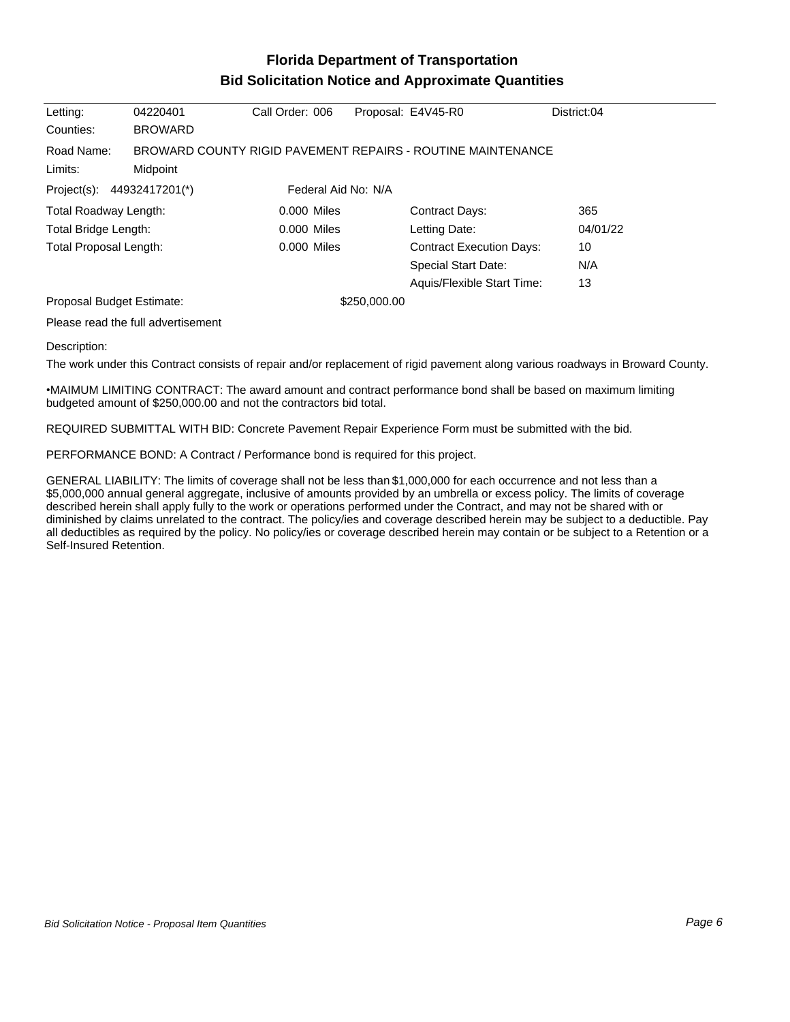## **Florida Department of Transportation Bid Solicitation Notice and Approximate Quantities**

| Letting:                                             | 04220401       | Call Order: 006 |  | Proposal: E4V45-R0                                          | District:04 |
|------------------------------------------------------|----------------|-----------------|--|-------------------------------------------------------------|-------------|
| Counties:                                            | <b>BROWARD</b> |                 |  |                                                             |             |
| Road Name:<br>Midpoint<br>Limits:                    |                |                 |  | BROWARD COUNTY RIGID PAVEMENT REPAIRS - ROUTINE MAINTENANCE |             |
| Federal Aid No: N/A<br>Project(s):<br>44932417201(*) |                |                 |  |                                                             |             |
| Total Roadway Length:                                |                | 0.000 Miles     |  | Contract Days:                                              | 365         |
| Total Bridge Length:                                 |                | 0.000 Miles     |  | Letting Date:                                               | 04/01/22    |
| Total Proposal Length:                               |                | 0.000 Miles     |  | <b>Contract Execution Days:</b>                             | 10          |
|                                                      |                |                 |  | Special Start Date:                                         | N/A         |
|                                                      |                |                 |  | Aquis/Flexible Start Time:                                  | 13          |
| Proposal Budget Estimate:                            |                | \$250,000.00    |  |                                                             |             |
| Please read the full advertisement                   |                |                 |  |                                                             |             |

Description:

The work under this Contract consists of repair and/or replacement of rigid pavement along various roadways in Broward County.

MAIMUM LIMITING CONTRACT: The award amount and contract performance bond shall be based on maximum limiting budgeted amount of \$250,000.00 and not the contractors bid total.

REQUIRED SUBMITTAL WITH BID: Concrete Pavement Repair Experience Form must be submitted with the bid.

PERFORMANCE BOND: A Contract / Performance bond is required for this project.

GENERAL LIABILITY: The limits of coverage shall not be less than \$1,000,000 for each occurrence and not less than a \$5,000,000 annual general aggregate, inclusive of amounts provided by an umbrella or excess policy. The limits of coverage described herein shall apply fully to the work or operations performed under the Contract, and may not be shared with or diminished by claims unrelated to the contract. The policy/ies and coverage described herein may be subject to a deductible. Pay all deductibles as required by the policy. No policy/ies or coverage described herein may contain or be subject to a Retention or a Self-Insured Retention.